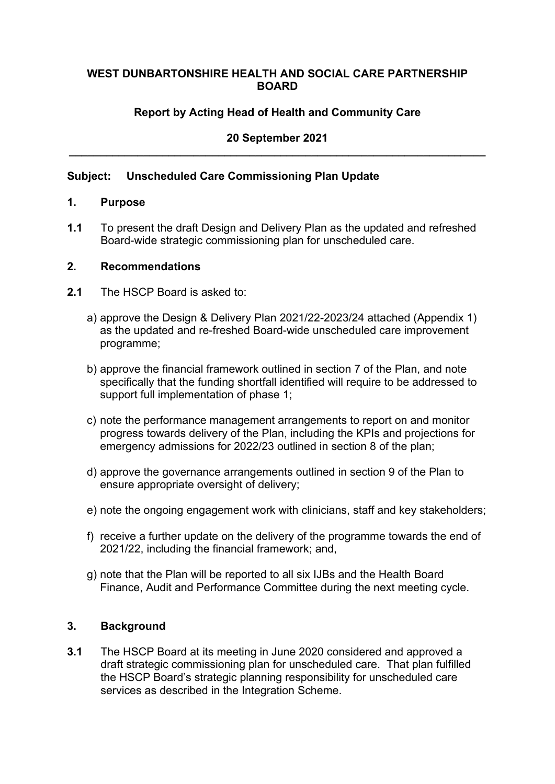#### **WEST DUNBARTONSHIRE HEALTH AND SOCIAL CARE PARTNERSHIP BOARD**

## **Report by Acting Head of Health and Community Care**

## **20 September 2021 \_\_\_\_\_\_\_\_\_\_\_\_\_\_\_\_\_\_\_\_\_\_\_\_\_\_\_\_\_\_\_\_\_\_\_\_\_\_\_\_\_\_\_\_\_\_\_\_\_\_\_\_\_\_\_\_\_\_\_\_\_\_\_\_\_\_\_**

#### **Subject: Unscheduled Care Commissioning Plan Update**

#### **1. Purpose**

**1.1** To present the draft Design and Delivery Plan as the updated and refreshed Board-wide strategic commissioning plan for unscheduled care.

#### **2. Recommendations**

- **2.1** The HSCP Board is asked to:
	- a) approve the Design & Delivery Plan 2021/22-2023/24 attached (Appendix 1) as the updated and re-freshed Board-wide unscheduled care improvement programme;
	- b) approve the financial framework outlined in section 7 of the Plan, and note specifically that the funding shortfall identified will require to be addressed to support full implementation of phase 1;
	- c) note the performance management arrangements to report on and monitor progress towards delivery of the Plan, including the KPIs and projections for emergency admissions for 2022/23 outlined in section 8 of the plan;
	- d) approve the governance arrangements outlined in section 9 of the Plan to ensure appropriate oversight of delivery;
	- e) note the ongoing engagement work with clinicians, staff and key stakeholders;
	- f) receive a further update on the delivery of the programme towards the end of 2021/22, including the financial framework; and,
	- g) note that the Plan will be reported to all six IJBs and the Health Board Finance, Audit and Performance Committee during the next meeting cycle.

#### **3. Background**

**3.1** The HSCP Board at its meeting in June 2020 considered and approved a draft strategic commissioning plan for unscheduled care. That plan fulfilled the HSCP Board's strategic planning responsibility for unscheduled care services as described in the Integration Scheme.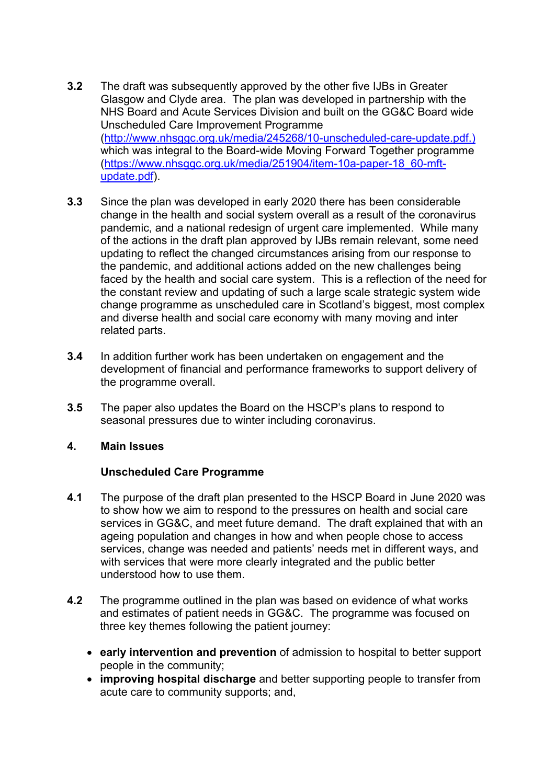- **3.2** The draft was subsequently approved by the other five IJBs in Greater Glasgow and Clyde area. The plan was developed in partnership with the NHS Board and Acute Services Division and built on the GG&C Board wide Unscheduled Care Improvement Programme [\(http://www.nhsggc.org.uk/media/245268/10-unscheduled-care-update.pdf.](http://www.nhsggc.org.uk/media/245268/10-unscheduled-care-update.pdf)) which was integral to the Board-wide Moving Forward Together programme [\(https://www.nhsggc.org.uk/media/251904/item-10a-paper-18\\_60-mft](https://www.nhsggc.org.uk/media/251904/item-10a-paper-18_60-mft-update.pdf)[update.pdf\)](https://www.nhsggc.org.uk/media/251904/item-10a-paper-18_60-mft-update.pdf).
- **3.3** Since the plan was developed in early 2020 there has been considerable change in the health and social system overall as a result of the coronavirus pandemic, and a national redesign of urgent care implemented. While many of the actions in the draft plan approved by IJBs remain relevant, some need updating to reflect the changed circumstances arising from our response to the pandemic, and additional actions added on the new challenges being faced by the health and social care system. This is a reflection of the need for the constant review and updating of such a large scale strategic system wide change programme as unscheduled care in Scotland's biggest, most complex and diverse health and social care economy with many moving and inter related parts.
- **3.4** In addition further work has been undertaken on engagement and the development of financial and performance frameworks to support delivery of the programme overall.
- **3.5** The paper also updates the Board on the HSCP's plans to respond to seasonal pressures due to winter including coronavirus.

#### **4. Main Issues**

# **Unscheduled Care Programme**

- **4.1** The purpose of the draft plan presented to the HSCP Board in June 2020 was to show how we aim to respond to the pressures on health and social care services in GG&C, and meet future demand. The draft explained that with an ageing population and changes in how and when people chose to access services, change was needed and patients' needs met in different ways, and with services that were more clearly integrated and the public better understood how to use them.
- **4.2** The programme outlined in the plan was based on evidence of what works and estimates of patient needs in GG&C. The programme was focused on three key themes following the patient journey:
	- **early intervention and prevention** of admission to hospital to better support people in the community;
	- **improving hospital discharge** and better supporting people to transfer from acute care to community supports; and,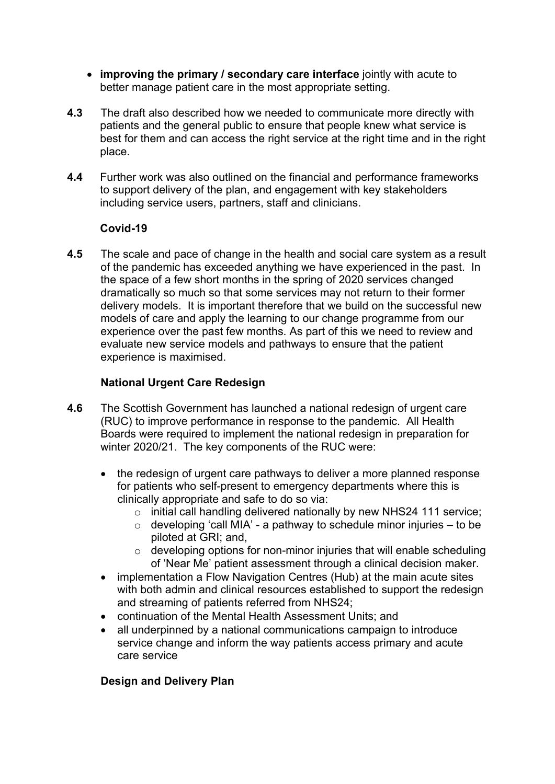- **improving the primary / secondary care interface** jointly with acute to better manage patient care in the most appropriate setting.
- **4.3** The draft also described how we needed to communicate more directly with patients and the general public to ensure that people knew what service is best for them and can access the right service at the right time and in the right place.
- **4.4** Further work was also outlined on the financial and performance frameworks to support delivery of the plan, and engagement with key stakeholders including service users, partners, staff and clinicians.

### **Covid-19**

**4.5** The scale and pace of change in the health and social care system as a result of the pandemic has exceeded anything we have experienced in the past. In the space of a few short months in the spring of 2020 services changed dramatically so much so that some services may not return to their former delivery models. It is important therefore that we build on the successful new models of care and apply the learning to our change programme from our experience over the past few months. As part of this we need to review and evaluate new service models and pathways to ensure that the patient experience is maximised.

### **National Urgent Care Redesign**

- **4.6** The Scottish Government has launched a national redesign of urgent care (RUC) to improve performance in response to the pandemic. All Health Boards were required to implement the national redesign in preparation for winter 2020/21. The key components of the RUC were:
	- the redesign of urgent care pathways to deliver a more planned response for patients who self-present to emergency departments where this is clinically appropriate and safe to do so via:
		- $\circ$  initial call handling delivered nationally by new NHS24 111 service;
		- $\circ$  developing 'call MIA' a pathway to schedule minor injuries to be piloted at GRI; and,
		- $\circ$  developing options for non-minor injuries that will enable scheduling of 'Near Me' patient assessment through a clinical decision maker.
	- implementation a Flow Navigation Centres (Hub) at the main acute sites with both admin and clinical resources established to support the redesign and streaming of patients referred from NHS24;
	- continuation of the Mental Health Assessment Units; and
	- all underpinned by a national communications campaign to introduce service change and inform the way patients access primary and acute care service

# **Design and Delivery Plan**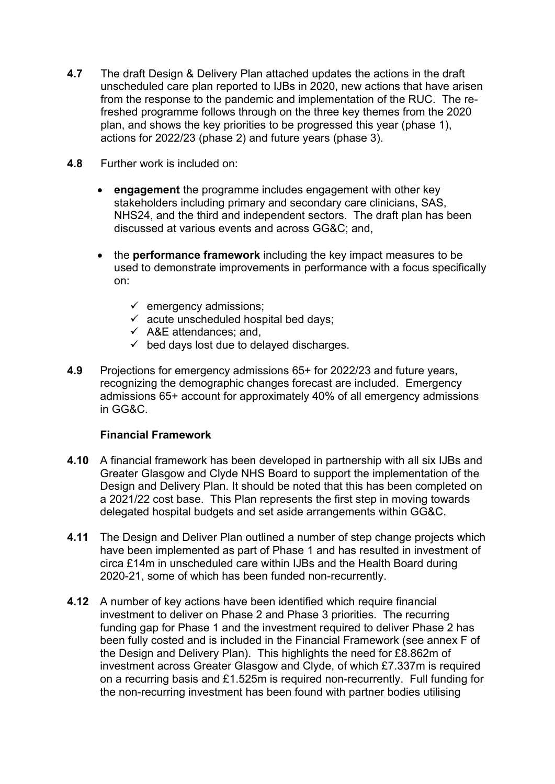- **4.7** The draft Design & Delivery Plan attached updates the actions in the draft unscheduled care plan reported to IJBs in 2020, new actions that have arisen from the response to the pandemic and implementation of the RUC. The refreshed programme follows through on the three key themes from the 2020 plan, and shows the key priorities to be progressed this year (phase 1), actions for 2022/23 (phase 2) and future years (phase 3).
- **4.8** Further work is included on:
	- **engagement** the programme includes engagement with other key stakeholders including primary and secondary care clinicians, SAS, NHS24, and the third and independent sectors. The draft plan has been discussed at various events and across GG&C; and,
	- the **performance framework** including the key impact measures to be used to demonstrate improvements in performance with a focus specifically on:
		- $\checkmark$  emergency admissions;
		- $\checkmark$  acute unscheduled hospital bed days;
		- $\checkmark$  A&E attendances; and,
		- $\checkmark$  bed days lost due to delayed discharges.
- **4.9** Projections for emergency admissions 65+ for 2022/23 and future years, recognizing the demographic changes forecast are included. Emergency admissions 65+ account for approximately 40% of all emergency admissions in GG&C.

#### **Financial Framework**

- **4.10** A financial framework has been developed in partnership with all six IJBs and Greater Glasgow and Clyde NHS Board to support the implementation of the Design and Delivery Plan. It should be noted that this has been completed on a 2021/22 cost base. This Plan represents the first step in moving towards delegated hospital budgets and set aside arrangements within GG&C.
- **4.11** The Design and Deliver Plan outlined a number of step change projects which have been implemented as part of Phase 1 and has resulted in investment of circa £14m in unscheduled care within IJBs and the Health Board during 2020-21, some of which has been funded non-recurrently.
- **4.12** A number of key actions have been identified which require financial investment to deliver on Phase 2 and Phase 3 priorities. The recurring funding gap for Phase 1 and the investment required to deliver Phase 2 has been fully costed and is included in the Financial Framework (see annex F of the Design and Delivery Plan). This highlights the need for £8.862m of investment across Greater Glasgow and Clyde, of which £7.337m is required on a recurring basis and £1.525m is required non-recurrently. Full funding for the non-recurring investment has been found with partner bodies utilising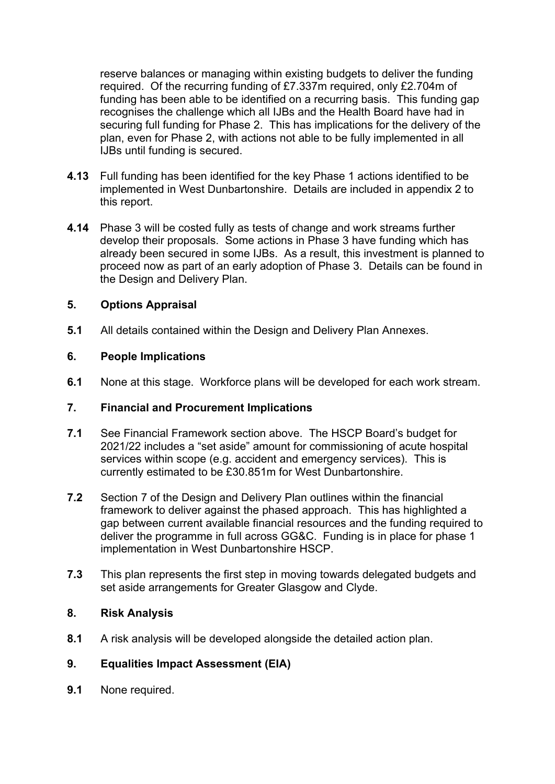reserve balances or managing within existing budgets to deliver the funding required. Of the recurring funding of £7.337m required, only £2.704m of funding has been able to be identified on a recurring basis. This funding gap recognises the challenge which all IJBs and the Health Board have had in securing full funding for Phase 2. This has implications for the delivery of the plan, even for Phase 2, with actions not able to be fully implemented in all IJBs until funding is secured.

- **4.13** Full funding has been identified for the key Phase 1 actions identified to be implemented in West Dunbartonshire. Details are included in appendix 2 to this report.
- **4.14** Phase 3 will be costed fully as tests of change and work streams further develop their proposals. Some actions in Phase 3 have funding which has already been secured in some IJBs. As a result, this investment is planned to proceed now as part of an early adoption of Phase 3. Details can be found in the Design and Delivery Plan.

### **5. Options Appraisal**

**5.1** All details contained within the Design and Delivery Plan Annexes.

#### **6. People Implications**

**6.1** None at this stage. Workforce plans will be developed for each work stream.

### **7. Financial and Procurement Implications**

- **7.1** See Financial Framework section above.The HSCP Board's budget for 2021/22 includes a "set aside" amount for commissioning of acute hospital services within scope (e.g. accident and emergency services). This is currently estimated to be £30.851m for West Dunbartonshire.
- **7.2** Section 7 of the Design and Delivery Plan outlines within the financial framework to deliver against the phased approach. This has highlighted a gap between current available financial resources and the funding required to deliver the programme in full across GG&C. Funding is in place for phase 1 implementation in West Dunbartonshire HSCP.
- **7.3** This plan represents the first step in moving towards delegated budgets and set aside arrangements for Greater Glasgow and Clyde.

#### **8. Risk Analysis**

**8.1** A risk analysis will be developed alongside the detailed action plan.

# **9. Equalities Impact Assessment (EIA)**

**9.1** None required.